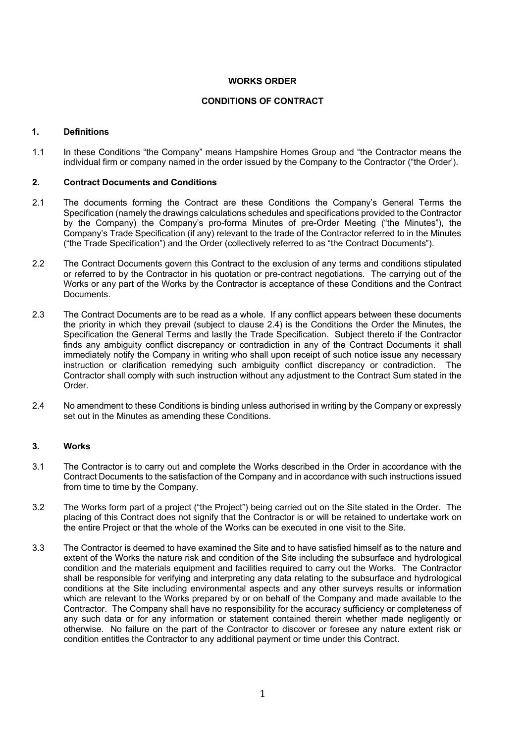### **WORKS ORDER**

#### **CONDITIONS OF CONTRACT**

### **1. Definitions**

1.1 In these Conditions "the Company" means Hampshire Homes Group and "the Contractor means the individual firm or company named in the order issued by the Company to the Contractor ("the Order').

#### **2. Contract Documents and Conditions**

- 2.1 The documents forming the Contract are these Conditions the Company's General Terms the Specification (namely the drawings calculations schedules and specifications provided to the Contractor by the Company) the Company's pro-forma Minutes of pre-Order Meeting ("the Minutes"), the Company's Trade Specification (if any) relevant to the trade of the Contractor referred to in the Minutes ("the Trade Specification") and the Order (collectively referred to as "the Contract Documents").
- 2.2 The Contract Documents govern this Contract to the exclusion of any terms and conditions stipulated or referred to by the Contractor in his quotation or pre-contract negotiations. The carrying out of the Works or any part of the Works by the Contractor is acceptance of these Conditions and the Contract Documents.
- 2.3 The Contract Documents are to be read as a whole. If any conflict appears between these documents the priority in which they prevail (subject to clause 2.4) is the Conditions the Order the Minutes, the Specification the General Terms and lastly the Trade Specification. Subject thereto if the Contractor finds any ambiguity conflict discrepancy or contradiction in any of the Contract Documents it shall immediately notify the Company in writing who shall upon receipt of such notice issue any necessary instruction or clarification remedying such ambiguity conflict discrepancy or contradiction. The Contractor shall comply with such instruction without any adjustment to the Contract Sum stated in the Order.
- 2.4 No amendment to these Conditions is binding unless authorised in writing by the Company or expressly set out in the Minutes as amending these Conditions.

#### **3. Works**

- 3.1 The Contractor is to carry out and complete the Works described in the Order in accordance with the Contract Documents to the satisfaction of the Company and in accordance with such instructions issued from time to time by the Company.
- 3.2 The Works form part of a project ("the Project") being carried out on the Site stated in the Order. The placing of this Contract does not signify that the Contractor is or will be retained to undertake work on the entire Project or that the whole of the Works can be executed in one visit to the Site.
- 3.3 The Contractor is deemed to have examined the Site and to have satisfied himself as to the nature and extent of the Works the nature risk and condition of the Site including the subsurface and hydrological condition and the materials equipment and facilities required to carry out the Works. The Contractor shall be responsible for verifying and interpreting any data relating to the subsurface and hydrological conditions at the Site including environmental aspects and any other surveys results or information which are relevant to the Works prepared by or on behalf of the Company and made available to the Contractor. The Company shall have no responsibility for the accuracy sufficiency or completeness of any such data or for any information or statement contained therein whether made negligently or otherwise. No failure on the part of the Contractor to discover or foresee any nature extent risk or condition entitles the Contractor to any additional payment or time under this Contract.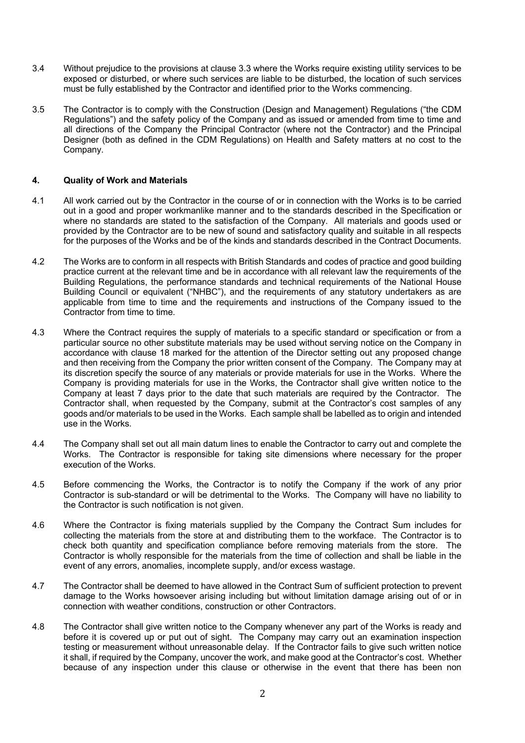- 3.4 Without prejudice to the provisions at clause 3.3 where the Works require existing utility services to be exposed or disturbed, or where such services are liable to be disturbed, the location of such services must be fully established by the Contractor and identified prior to the Works commencing.
- 3.5 The Contractor is to comply with the Construction (Design and Management) Regulations ("the CDM Regulations") and the safety policy of the Company and as issued or amended from time to time and all directions of the Company the Principal Contractor (where not the Contractor) and the Principal Designer (both as defined in the CDM Regulations) on Health and Safety matters at no cost to the Company.

### **4. Quality of Work and Materials**

- 4.1 All work carried out by the Contractor in the course of or in connection with the Works is to be carried out in a good and proper workmanlike manner and to the standards described in the Specification or where no standards are stated to the satisfaction of the Company. All materials and goods used or provided by the Contractor are to be new of sound and satisfactory quality and suitable in all respects for the purposes of the Works and be of the kinds and standards described in the Contract Documents.
- 4.2 The Works are to conform in all respects with British Standards and codes of practice and good building practice current at the relevant time and be in accordance with all relevant law the requirements of the Building Regulations, the performance standards and technical requirements of the National House Building Council or equivalent ("NHBC"), and the requirements of any statutory undertakers as are applicable from time to time and the requirements and instructions of the Company issued to the Contractor from time to time.
- 4.3 Where the Contract requires the supply of materials to a specific standard or specification or from a particular source no other substitute materials may be used without serving notice on the Company in accordance with clause 18 marked for the attention of the Director setting out any proposed change and then receiving from the Company the prior written consent of the Company. The Company may at its discretion specify the source of any materials or provide materials for use in the Works. Where the Company is providing materials for use in the Works, the Contractor shall give written notice to the Company at least 7 days prior to the date that such materials are required by the Contractor. The Contractor shall, when requested by the Company, submit at the Contractor's cost samples of any goods and/or materials to be used in the Works. Each sample shall be labelled as to origin and intended use in the Works.
- 4.4 The Company shall set out all main datum lines to enable the Contractor to carry out and complete the Works. The Contractor is responsible for taking site dimensions where necessary for the proper execution of the Works.
- 4.5 Before commencing the Works, the Contractor is to notify the Company if the work of any prior Contractor is sub-standard or will be detrimental to the Works. The Company will have no liability to the Contractor is such notification is not given.
- 4.6 Where the Contractor is fixing materials supplied by the Company the Contract Sum includes for collecting the materials from the store at and distributing them to the workface. The Contractor is to check both quantity and specification compliance before removing materials from the store. The Contractor is wholly responsible for the materials from the time of collection and shall be liable in the event of any errors, anomalies, incomplete supply, and/or excess wastage.
- 4.7 The Contractor shall be deemed to have allowed in the Contract Sum of sufficient protection to prevent damage to the Works howsoever arising including but without limitation damage arising out of or in connection with weather conditions, construction or other Contractors.
- 4.8 The Contractor shall give written notice to the Company whenever any part of the Works is ready and before it is covered up or put out of sight. The Company may carry out an examination inspection testing or measurement without unreasonable delay. If the Contractor fails to give such written notice it shall, if required by the Company, uncover the work, and make good at the Contractor's cost. Whether because of any inspection under this clause or otherwise in the event that there has been non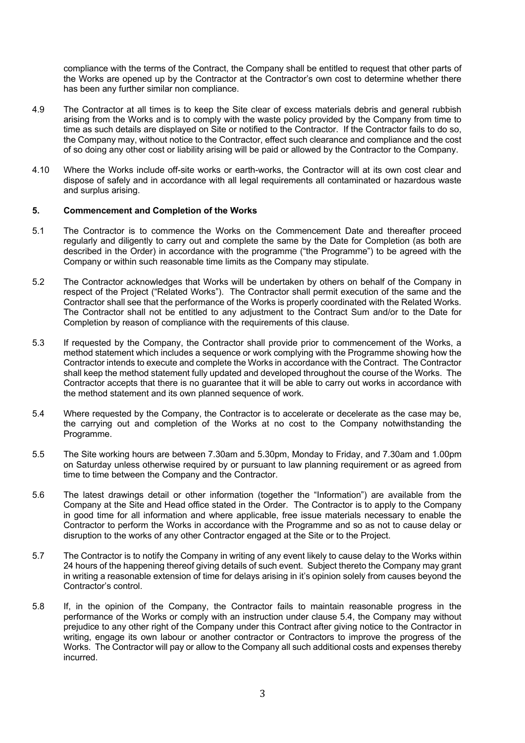compliance with the terms of the Contract, the Company shall be entitled to request that other parts of the Works are opened up by the Contractor at the Contractor's own cost to determine whether there has been any further similar non compliance.

- 4.9 The Contractor at all times is to keep the Site clear of excess materials debris and general rubbish arising from the Works and is to comply with the waste policy provided by the Company from time to time as such details are displayed on Site or notified to the Contractor. If the Contractor fails to do so, the Company may, without notice to the Contractor, effect such clearance and compliance and the cost of so doing any other cost or liability arising will be paid or allowed by the Contractor to the Company.
- 4.10 Where the Works include off-site works or earth-works, the Contractor will at its own cost clear and dispose of safely and in accordance with all legal requirements all contaminated or hazardous waste and surplus arising.

#### **5. Commencement and Completion of the Works**

- 5.1 The Contractor is to commence the Works on the Commencement Date and thereafter proceed regularly and diligently to carry out and complete the same by the Date for Completion (as both are described in the Order) in accordance with the programme ("the Programme") to be agreed with the Company or within such reasonable time limits as the Company may stipulate.
- 5.2 The Contractor acknowledges that Works will be undertaken by others on behalf of the Company in respect of the Project ("Related Works"). The Contractor shall permit execution of the same and the Contractor shall see that the performance of the Works is properly coordinated with the Related Works. The Contractor shall not be entitled to any adjustment to the Contract Sum and/or to the Date for Completion by reason of compliance with the requirements of this clause.
- 5.3 If requested by the Company, the Contractor shall provide prior to commencement of the Works, a method statement which includes a sequence or work complying with the Programme showing how the Contractor intends to execute and complete the Works in accordance with the Contract. The Contractor shall keep the method statement fully updated and developed throughout the course of the Works. The Contractor accepts that there is no guarantee that it will be able to carry out works in accordance with the method statement and its own planned sequence of work.
- 5.4 Where requested by the Company, the Contractor is to accelerate or decelerate as the case may be, the carrying out and completion of the Works at no cost to the Company notwithstanding the Programme.
- 5.5 The Site working hours are between 7.30am and 5.30pm, Monday to Friday, and 7.30am and 1.00pm on Saturday unless otherwise required by or pursuant to law planning requirement or as agreed from time to time between the Company and the Contractor.
- 5.6 The latest drawings detail or other information (together the "Information") are available from the Company at the Site and Head office stated in the Order. The Contractor is to apply to the Company in good time for all information and where applicable, free issue materials necessary to enable the Contractor to perform the Works in accordance with the Programme and so as not to cause delay or disruption to the works of any other Contractor engaged at the Site or to the Project.
- 5.7 The Contractor is to notify the Company in writing of any event likely to cause delay to the Works within 24 hours of the happening thereof giving details of such event. Subject thereto the Company may grant in writing a reasonable extension of time for delays arising in it's opinion solely from causes beyond the Contractor's control.
- 5.8 If, in the opinion of the Company, the Contractor fails to maintain reasonable progress in the performance of the Works or comply with an instruction under clause 5.4, the Company may without prejudice to any other right of the Company under this Contract after giving notice to the Contractor in writing, engage its own labour or another contractor or Contractors to improve the progress of the Works. The Contractor will pay or allow to the Company all such additional costs and expenses thereby incurred.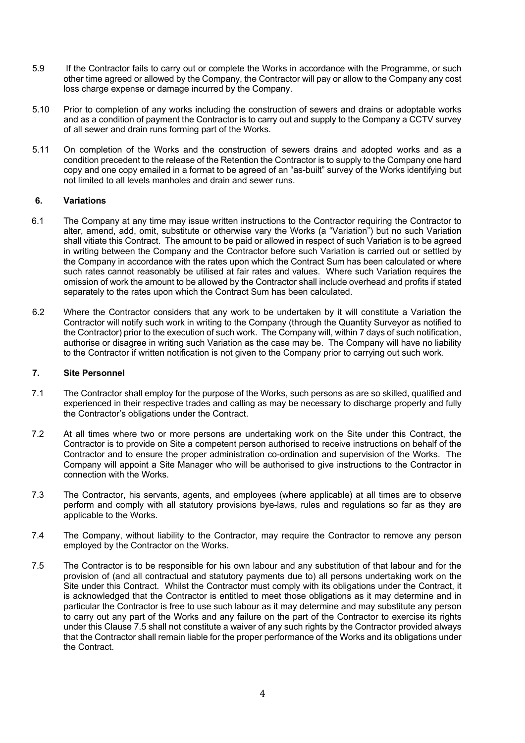- 5.9 If the Contractor fails to carry out or complete the Works in accordance with the Programme, or such other time agreed or allowed by the Company, the Contractor will pay or allow to the Company any cost loss charge expense or damage incurred by the Company.
- 5.10 Prior to completion of any works including the construction of sewers and drains or adoptable works and as a condition of payment the Contractor is to carry out and supply to the Company a CCTV survey of all sewer and drain runs forming part of the Works.
- 5.11 On completion of the Works and the construction of sewers drains and adopted works and as a condition precedent to the release of the Retention the Contractor is to supply to the Company one hard copy and one copy emailed in a format to be agreed of an "as-built" survey of the Works identifying but not limited to all levels manholes and drain and sewer runs.

# **6. Variations**

- 6.1 The Company at any time may issue written instructions to the Contractor requiring the Contractor to alter, amend, add, omit, substitute or otherwise vary the Works (a "Variation") but no such Variation shall vitiate this Contract. The amount to be paid or allowed in respect of such Variation is to be agreed in writing between the Company and the Contractor before such Variation is carried out or settled by the Company in accordance with the rates upon which the Contract Sum has been calculated or where such rates cannot reasonably be utilised at fair rates and values. Where such Variation requires the omission of work the amount to be allowed by the Contractor shall include overhead and profits if stated separately to the rates upon which the Contract Sum has been calculated.
- 6.2 Where the Contractor considers that any work to be undertaken by it will constitute a Variation the Contractor will notify such work in writing to the Company (through the Quantity Surveyor as notified to the Contractor) prior to the execution of such work. The Company will, within 7 days of such notification, authorise or disagree in writing such Variation as the case may be. The Company will have no liability to the Contractor if written notification is not given to the Company prior to carrying out such work.

### **7. Site Personnel**

- 7.1 The Contractor shall employ for the purpose of the Works, such persons as are so skilled, qualified and experienced in their respective trades and calling as may be necessary to discharge properly and fully the Contractor's obligations under the Contract.
- 7.2 At all times where two or more persons are undertaking work on the Site under this Contract, the Contractor is to provide on Site a competent person authorised to receive instructions on behalf of the Contractor and to ensure the proper administration co-ordination and supervision of the Works. The Company will appoint a Site Manager who will be authorised to give instructions to the Contractor in connection with the Works.
- 7.3 The Contractor, his servants, agents, and employees (where applicable) at all times are to observe perform and comply with all statutory provisions bye-laws, rules and regulations so far as they are applicable to the Works.
- 7.4 The Company, without liability to the Contractor, may require the Contractor to remove any person employed by the Contractor on the Works.
- 7.5 The Contractor is to be responsible for his own labour and any substitution of that labour and for the provision of (and all contractual and statutory payments due to) all persons undertaking work on the Site under this Contract. Whilst the Contractor must comply with its obligations under the Contract, it is acknowledged that the Contractor is entitled to meet those obligations as it may determine and in particular the Contractor is free to use such labour as it may determine and may substitute any person to carry out any part of the Works and any failure on the part of the Contractor to exercise its rights under this Clause 7.5 shall not constitute a waiver of any such rights by the Contractor provided always that the Contractor shall remain liable for the proper performance of the Works and its obligations under the Contract.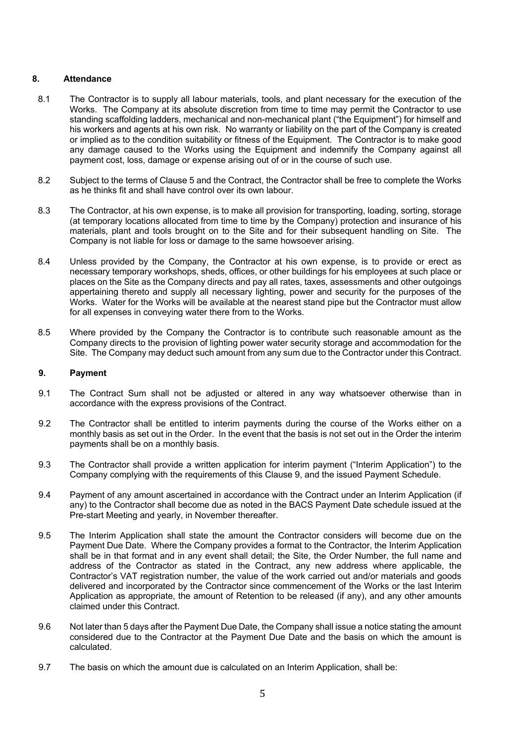### **8. Attendance**

- 8.1 The Contractor is to supply all labour materials, tools, and plant necessary for the execution of the Works. The Company at its absolute discretion from time to time may permit the Contractor to use standing scaffolding ladders, mechanical and non-mechanical plant ("the Equipment") for himself and his workers and agents at his own risk. No warranty or liability on the part of the Company is created or implied as to the condition suitability or fitness of the Equipment. The Contractor is to make good any damage caused to the Works using the Equipment and indemnify the Company against all payment cost, loss, damage or expense arising out of or in the course of such use.
- 8.2 Subject to the terms of Clause 5 and the Contract, the Contractor shall be free to complete the Works as he thinks fit and shall have control over its own labour.
- 8.3 The Contractor, at his own expense, is to make all provision for transporting, loading, sorting, storage (at temporary locations allocated from time to time by the Company) protection and insurance of his materials, plant and tools brought on to the Site and for their subsequent handling on Site. The Company is not liable for loss or damage to the same howsoever arising.
- 8.4 Unless provided by the Company, the Contractor at his own expense, is to provide or erect as necessary temporary workshops, sheds, offices, or other buildings for his employees at such place or places on the Site as the Company directs and pay all rates, taxes, assessments and other outgoings appertaining thereto and supply all necessary lighting, power and security for the purposes of the Works. Water for the Works will be available at the nearest stand pipe but the Contractor must allow for all expenses in conveying water there from to the Works.
- 8.5 Where provided by the Company the Contractor is to contribute such reasonable amount as the Company directs to the provision of lighting power water security storage and accommodation for the Site. The Company may deduct such amount from any sum due to the Contractor under this Contract.

### **9. Payment**

- 9.1 The Contract Sum shall not be adjusted or altered in any way whatsoever otherwise than in accordance with the express provisions of the Contract.
- 9.2 The Contractor shall be entitled to interim payments during the course of the Works either on a monthly basis as set out in the Order. In the event that the basis is not set out in the Order the interim payments shall be on a monthly basis.
- 9.3 The Contractor shall provide a written application for interim payment ("Interim Application") to the Company complying with the requirements of this Clause 9, and the issued Payment Schedule.
- 9.4 Payment of any amount ascertained in accordance with the Contract under an Interim Application (if any) to the Contractor shall become due as noted in the BACS Payment Date schedule issued at the Pre-start Meeting and yearly, in November thereafter.
- 9.5 The Interim Application shall state the amount the Contractor considers will become due on the Payment Due Date. Where the Company provides a format to the Contractor, the Interim Application shall be in that format and in any event shall detail; the Site, the Order Number, the full name and address of the Contractor as stated in the Contract, any new address where applicable, the Contractor's VAT registration number, the value of the work carried out and/or materials and goods delivered and incorporated by the Contractor since commencement of the Works or the last Interim Application as appropriate, the amount of Retention to be released (if any), and any other amounts claimed under this Contract.
- 9.6 Not later than 5 days after the Payment Due Date, the Company shall issue a notice stating the amount considered due to the Contractor at the Payment Due Date and the basis on which the amount is calculated.
- 9.7 The basis on which the amount due is calculated on an Interim Application, shall be: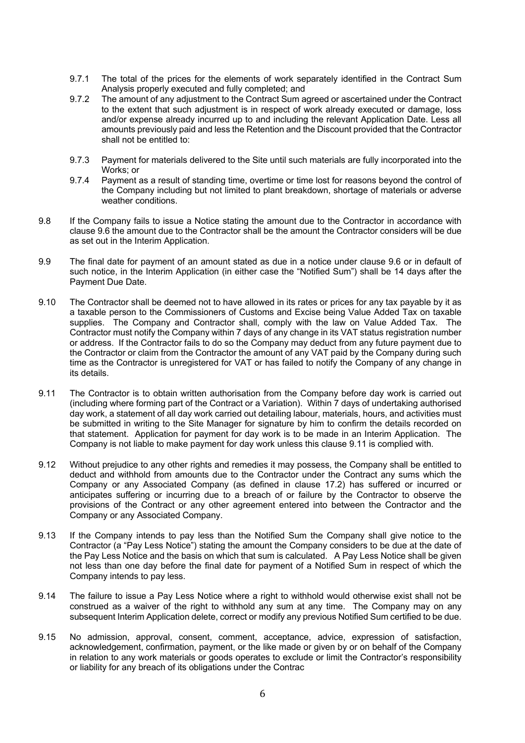- 9.7.1 The total of the prices for the elements of work separately identified in the Contract Sum Analysis properly executed and fully completed; and
- 9.7.2 The amount of any adjustment to the Contract Sum agreed or ascertained under the Contract to the extent that such adjustment is in respect of work already executed or damage, loss and/or expense already incurred up to and including the relevant Application Date. Less all amounts previously paid and less the Retention and the Discount provided that the Contractor shall not be entitled to:
- 9.7.3 Payment for materials delivered to the Site until such materials are fully incorporated into the Works; or
- 9.7.4 Payment as a result of standing time, overtime or time lost for reasons beyond the control of the Company including but not limited to plant breakdown, shortage of materials or adverse weather conditions.
- 9.8 If the Company fails to issue a Notice stating the amount due to the Contractor in accordance with clause 9.6 the amount due to the Contractor shall be the amount the Contractor considers will be due as set out in the Interim Application.
- 9.9 The final date for payment of an amount stated as due in a notice under clause 9.6 or in default of such notice, in the Interim Application (in either case the "Notified Sum") shall be 14 days after the Payment Due Date.
- 9.10 The Contractor shall be deemed not to have allowed in its rates or prices for any tax payable by it as a taxable person to the Commissioners of Customs and Excise being Value Added Tax on taxable supplies. The Company and Contractor shall, comply with the law on Value Added Tax. The Contractor must notify the Company within 7 days of any change in its VAT status registration number or address. If the Contractor fails to do so the Company may deduct from any future payment due to the Contractor or claim from the Contractor the amount of any VAT paid by the Company during such time as the Contractor is unregistered for VAT or has failed to notify the Company of any change in its details.
- 9.11 The Contractor is to obtain written authorisation from the Company before day work is carried out (including where forming part of the Contract or a Variation). Within 7 days of undertaking authorised day work, a statement of all day work carried out detailing labour, materials, hours, and activities must be submitted in writing to the Site Manager for signature by him to confirm the details recorded on that statement. Application for payment for day work is to be made in an Interim Application. The Company is not liable to make payment for day work unless this clause 9.11 is complied with.
- 9.12 Without prejudice to any other rights and remedies it may possess, the Company shall be entitled to deduct and withhold from amounts due to the Contractor under the Contract any sums which the Company or any Associated Company (as defined in clause 17.2) has suffered or incurred or anticipates suffering or incurring due to a breach of or failure by the Contractor to observe the provisions of the Contract or any other agreement entered into between the Contractor and the Company or any Associated Company.
- 9.13 If the Company intends to pay less than the Notified Sum the Company shall give notice to the Contractor (a "Pay Less Notice") stating the amount the Company considers to be due at the date of the Pay Less Notice and the basis on which that sum is calculated. A Pay Less Notice shall be given not less than one day before the final date for payment of a Notified Sum in respect of which the Company intends to pay less.
- 9.14 The failure to issue a Pay Less Notice where a right to withhold would otherwise exist shall not be construed as a waiver of the right to withhold any sum at any time. The Company may on any subsequent Interim Application delete, correct or modify any previous Notified Sum certified to be due.
- 9.15 No admission, approval, consent, comment, acceptance, advice, expression of satisfaction, acknowledgement, confirmation, payment, or the like made or given by or on behalf of the Company in relation to any work materials or goods operates to exclude or limit the Contractor's responsibility or liability for any breach of its obligations under the Contrac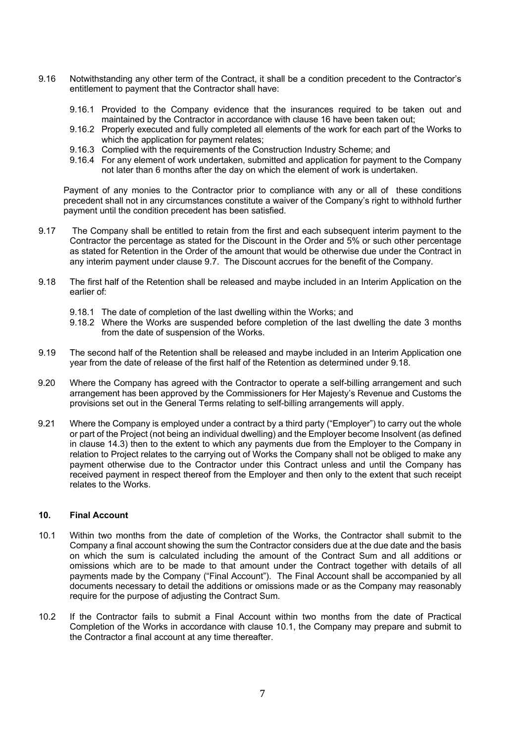- 9.16 Notwithstanding any other term of the Contract, it shall be a condition precedent to the Contractor's entitlement to payment that the Contractor shall have:
	- 9.16.1 Provided to the Company evidence that the insurances required to be taken out and maintained by the Contractor in accordance with clause 16 have been taken out;
	- 9.16.2 Properly executed and fully completed all elements of the work for each part of the Works to which the application for payment relates;
	- 9.16.3 Complied with the requirements of the Construction Industry Scheme; and
	- 9.16.4 For any element of work undertaken, submitted and application for payment to the Company not later than 6 months after the day on which the element of work is undertaken.

Payment of any monies to the Contractor prior to compliance with any or all of these conditions precedent shall not in any circumstances constitute a waiver of the Company's right to withhold further payment until the condition precedent has been satisfied.

- 9.17 The Company shall be entitled to retain from the first and each subsequent interim payment to the Contractor the percentage as stated for the Discount in the Order and 5% or such other percentage as stated for Retention in the Order of the amount that would be otherwise due under the Contract in any interim payment under clause 9.7. The Discount accrues for the benefit of the Company.
- 9.18 The first half of the Retention shall be released and maybe included in an Interim Application on the earlier of:
	- 9.18.1 The date of completion of the last dwelling within the Works; and
	- 9.18.2 Where the Works are suspended before completion of the last dwelling the date 3 months from the date of suspension of the Works.
- 9.19 The second half of the Retention shall be released and maybe included in an Interim Application one year from the date of release of the first half of the Retention as determined under 9.18.
- 9.20 Where the Company has agreed with the Contractor to operate a self-billing arrangement and such arrangement has been approved by the Commissioners for Her Majesty's Revenue and Customs the provisions set out in the General Terms relating to self-billing arrangements will apply.
- 9.21 Where the Company is employed under a contract by a third party ("Employer") to carry out the whole or part of the Project (not being an individual dwelling) and the Employer become Insolvent (as defined in clause 14.3) then to the extent to which any payments due from the Employer to the Company in relation to Project relates to the carrying out of Works the Company shall not be obliged to make any payment otherwise due to the Contractor under this Contract unless and until the Company has received payment in respect thereof from the Employer and then only to the extent that such receipt relates to the Works.

# **10. Final Account**

- 10.1 Within two months from the date of completion of the Works, the Contractor shall submit to the Company a final account showing the sum the Contractor considers due at the due date and the basis on which the sum is calculated including the amount of the Contract Sum and all additions or omissions which are to be made to that amount under the Contract together with details of all payments made by the Company ("Final Account"). The Final Account shall be accompanied by all documents necessary to detail the additions or omissions made or as the Company may reasonably require for the purpose of adjusting the Contract Sum.
- 10.2 If the Contractor fails to submit a Final Account within two months from the date of Practical Completion of the Works in accordance with clause 10.1, the Company may prepare and submit to the Contractor a final account at any time thereafter.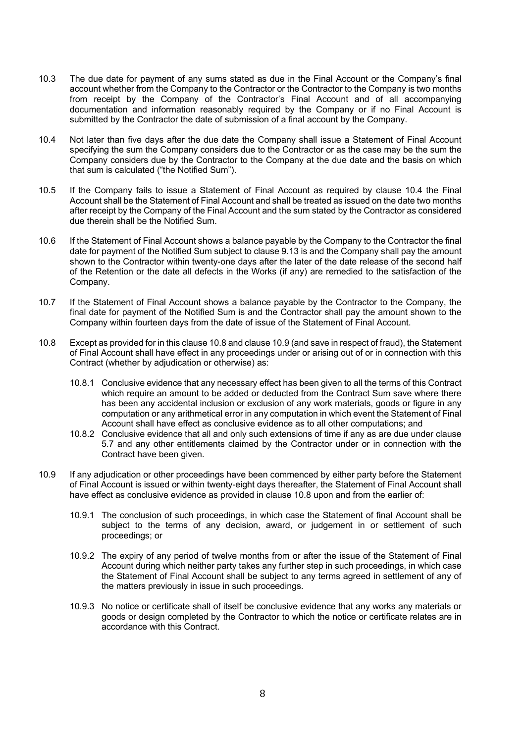- 10.3 The due date for payment of any sums stated as due in the Final Account or the Company's final account whether from the Company to the Contractor or the Contractor to the Company is two months from receipt by the Company of the Contractor's Final Account and of all accompanying documentation and information reasonably required by the Company or if no Final Account is submitted by the Contractor the date of submission of a final account by the Company.
- 10.4 Not later than five days after the due date the Company shall issue a Statement of Final Account specifying the sum the Company considers due to the Contractor or as the case may be the sum the Company considers due by the Contractor to the Company at the due date and the basis on which that sum is calculated ("the Notified Sum").
- 10.5 If the Company fails to issue a Statement of Final Account as required by clause 10.4 the Final Account shall be the Statement of Final Account and shall be treated as issued on the date two months after receipt by the Company of the Final Account and the sum stated by the Contractor as considered due therein shall be the Notified Sum.
- 10.6 If the Statement of Final Account shows a balance payable by the Company to the Contractor the final date for payment of the Notified Sum subject to clause 9.13 is and the Company shall pay the amount shown to the Contractor within twenty-one days after the later of the date release of the second half of the Retention or the date all defects in the Works (if any) are remedied to the satisfaction of the Company.
- 10.7 If the Statement of Final Account shows a balance payable by the Contractor to the Company, the final date for payment of the Notified Sum is and the Contractor shall pay the amount shown to the Company within fourteen days from the date of issue of the Statement of Final Account.
- 10.8 Except as provided for in this clause 10.8 and clause 10.9 (and save in respect of fraud), the Statement of Final Account shall have effect in any proceedings under or arising out of or in connection with this Contract (whether by adjudication or otherwise) as:
	- 10.8.1 Conclusive evidence that any necessary effect has been given to all the terms of this Contract which require an amount to be added or deducted from the Contract Sum save where there has been any accidental inclusion or exclusion of any work materials, goods or figure in any computation or any arithmetical error in any computation in which event the Statement of Final Account shall have effect as conclusive evidence as to all other computations; and
	- 10.8.2 Conclusive evidence that all and only such extensions of time if any as are due under clause 5.7 and any other entitlements claimed by the Contractor under or in connection with the Contract have been given.
- 10.9 If any adjudication or other proceedings have been commenced by either party before the Statement of Final Account is issued or within twenty-eight days thereafter, the Statement of Final Account shall have effect as conclusive evidence as provided in clause 10.8 upon and from the earlier of:
	- 10.9.1 The conclusion of such proceedings, in which case the Statement of final Account shall be subject to the terms of any decision, award, or judgement in or settlement of such proceedings; or
	- 10.9.2 The expiry of any period of twelve months from or after the issue of the Statement of Final Account during which neither party takes any further step in such proceedings, in which case the Statement of Final Account shall be subject to any terms agreed in settlement of any of the matters previously in issue in such proceedings.
	- 10.9.3 No notice or certificate shall of itself be conclusive evidence that any works any materials or goods or design completed by the Contractor to which the notice or certificate relates are in accordance with this Contract.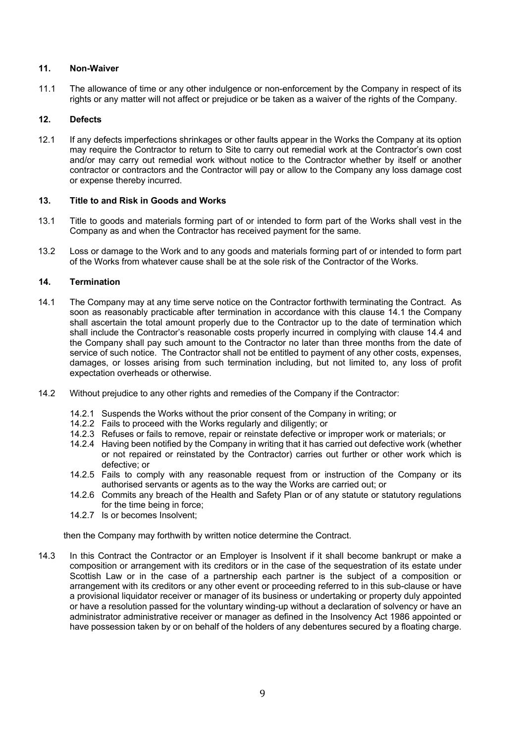# **11. Non-Waiver**

11.1 The allowance of time or any other indulgence or non-enforcement by the Company in respect of its rights or any matter will not affect or prejudice or be taken as a waiver of the rights of the Company.

# **12. Defects**

12.1 If any defects imperfections shrinkages or other faults appear in the Works the Company at its option may require the Contractor to return to Site to carry out remedial work at the Contractor's own cost and/or may carry out remedial work without notice to the Contractor whether by itself or another contractor or contractors and the Contractor will pay or allow to the Company any loss damage cost or expense thereby incurred.

# **13. Title to and Risk in Goods and Works**

- 13.1 Title to goods and materials forming part of or intended to form part of the Works shall vest in the Company as and when the Contractor has received payment for the same.
- 13.2 Loss or damage to the Work and to any goods and materials forming part of or intended to form part of the Works from whatever cause shall be at the sole risk of the Contractor of the Works.

# **14. Termination**

- 14.1 The Company may at any time serve notice on the Contractor forthwith terminating the Contract. As soon as reasonably practicable after termination in accordance with this clause 14.1 the Company shall ascertain the total amount properly due to the Contractor up to the date of termination which shall include the Contractor's reasonable costs properly incurred in complying with clause 14.4 and the Company shall pay such amount to the Contractor no later than three months from the date of service of such notice. The Contractor shall not be entitled to payment of any other costs, expenses, damages, or losses arising from such termination including, but not limited to, any loss of profit expectation overheads or otherwise.
- 14.2 Without prejudice to any other rights and remedies of the Company if the Contractor:
	- 14.2.1 Suspends the Works without the prior consent of the Company in writing; or
	- 14.2.2 Fails to proceed with the Works regularly and diligently; or
	- 14.2.3 Refuses or fails to remove, repair or reinstate defective or improper work or materials; or
	- 14.2.4 Having been notified by the Company in writing that it has carried out defective work (whether or not repaired or reinstated by the Contractor) carries out further or other work which is defective; or
	- 14.2.5 Fails to comply with any reasonable request from or instruction of the Company or its authorised servants or agents as to the way the Works are carried out; or
	- 14.2.6 Commits any breach of the Health and Safety Plan or of any statute or statutory regulations for the time being in force;
	- 14.2.7 Is or becomes Insolvent;

then the Company may forthwith by written notice determine the Contract.

14.3 In this Contract the Contractor or an Employer is Insolvent if it shall become bankrupt or make a composition or arrangement with its creditors or in the case of the sequestration of its estate under Scottish Law or in the case of a partnership each partner is the subject of a composition or arrangement with its creditors or any other event or proceeding referred to in this sub-clause or have a provisional liquidator receiver or manager of its business or undertaking or property duly appointed or have a resolution passed for the voluntary winding-up without a declaration of solvency or have an administrator administrative receiver or manager as defined in the Insolvency Act 1986 appointed or have possession taken by or on behalf of the holders of any debentures secured by a floating charge.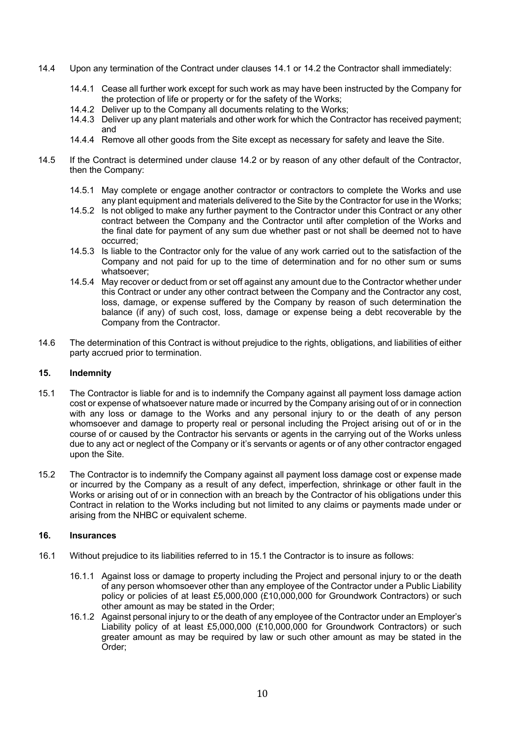- 14.4 Upon any termination of the Contract under clauses 14.1 or 14.2 the Contractor shall immediately:
	- 14.4.1 Cease all further work except for such work as may have been instructed by the Company for the protection of life or property or for the safety of the Works;
	- 14.4.2 Deliver up to the Company all documents relating to the Works;
	- 14.4.3 Deliver up any plant materials and other work for which the Contractor has received payment; and
	- 14.4.4 Remove all other goods from the Site except as necessary for safety and leave the Site.
- 14.5 If the Contract is determined under clause 14.2 or by reason of any other default of the Contractor, then the Company:
	- 14.5.1 May complete or engage another contractor or contractors to complete the Works and use any plant equipment and materials delivered to the Site by the Contractor for use in the Works;
	- 14.5.2 Is not obliged to make any further payment to the Contractor under this Contract or any other contract between the Company and the Contractor until after completion of the Works and the final date for payment of any sum due whether past or not shall be deemed not to have occurred;
	- 14.5.3 Is liable to the Contractor only for the value of any work carried out to the satisfaction of the Company and not paid for up to the time of determination and for no other sum or sums whatsoever;
	- 14.5.4 May recover or deduct from or set off against any amount due to the Contractor whether under this Contract or under any other contract between the Company and the Contractor any cost, loss, damage, or expense suffered by the Company by reason of such determination the balance (if any) of such cost, loss, damage or expense being a debt recoverable by the Company from the Contractor.
- 14.6 The determination of this Contract is without prejudice to the rights, obligations, and liabilities of either party accrued prior to termination.

# **15. Indemnity**

- 15.1 The Contractor is liable for and is to indemnify the Company against all payment loss damage action cost or expense of whatsoever nature made or incurred by the Company arising out of or in connection with any loss or damage to the Works and any personal injury to or the death of any person whomsoever and damage to property real or personal including the Project arising out of or in the course of or caused by the Contractor his servants or agents in the carrying out of the Works unless due to any act or neglect of the Company or it's servants or agents or of any other contractor engaged upon the Site.
- 15.2 The Contractor is to indemnify the Company against all payment loss damage cost or expense made or incurred by the Company as a result of any defect, imperfection, shrinkage or other fault in the Works or arising out of or in connection with an breach by the Contractor of his obligations under this Contract in relation to the Works including but not limited to any claims or payments made under or arising from the NHBC or equivalent scheme.

# **16. Insurances**

- 16.1 Without prejudice to its liabilities referred to in 15.1 the Contractor is to insure as follows:
	- 16.1.1 Against loss or damage to property including the Project and personal injury to or the death of any person whomsoever other than any employee of the Contractor under a Public Liability policy or policies of at least £5,000,000 (£10,000,000 for Groundwork Contractors) or such other amount as may be stated in the Order;
	- 16.1.2 Against personal injury to or the death of any employee of the Contractor under an Employer's Liability policy of at least £5,000,000 (£10,000,000 for Groundwork Contractors) or such greater amount as may be required by law or such other amount as may be stated in the Order;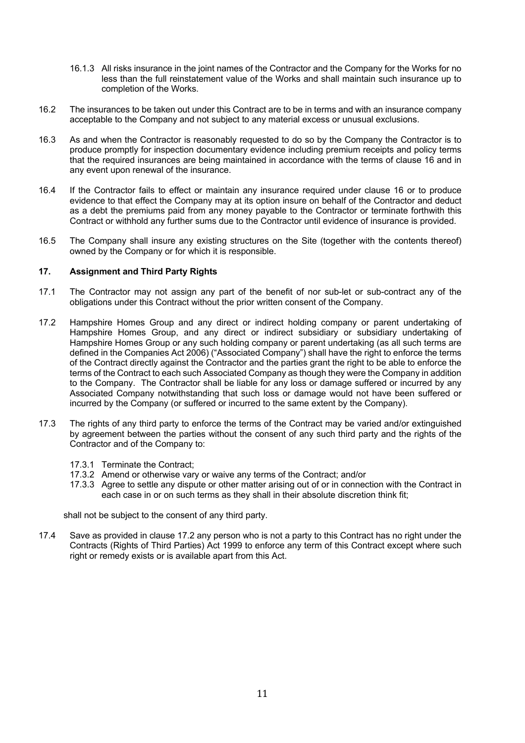- 16.1.3 All risks insurance in the joint names of the Contractor and the Company for the Works for no less than the full reinstatement value of the Works and shall maintain such insurance up to completion of the Works.
- 16.2 The insurances to be taken out under this Contract are to be in terms and with an insurance company acceptable to the Company and not subject to any material excess or unusual exclusions.
- 16.3 As and when the Contractor is reasonably requested to do so by the Company the Contractor is to produce promptly for inspection documentary evidence including premium receipts and policy terms that the required insurances are being maintained in accordance with the terms of clause 16 and in any event upon renewal of the insurance.
- 16.4 If the Contractor fails to effect or maintain any insurance required under clause 16 or to produce evidence to that effect the Company may at its option insure on behalf of the Contractor and deduct as a debt the premiums paid from any money payable to the Contractor or terminate forthwith this Contract or withhold any further sums due to the Contractor until evidence of insurance is provided.
- 16.5 The Company shall insure any existing structures on the Site (together with the contents thereof) owned by the Company or for which it is responsible.

# **17. Assignment and Third Party Rights**

- 17.1 The Contractor may not assign any part of the benefit of nor sub-let or sub-contract any of the obligations under this Contract without the prior written consent of the Company.
- 17.2 Hampshire Homes Group and any direct or indirect holding company or parent undertaking of Hampshire Homes Group, and any direct or indirect subsidiary or subsidiary undertaking of Hampshire Homes Group or any such holding company or parent undertaking (as all such terms are defined in the Companies Act 2006) ("Associated Company") shall have the right to enforce the terms of the Contract directly against the Contractor and the parties grant the right to be able to enforce the terms of the Contract to each such Associated Company as though they were the Company in addition to the Company. The Contractor shall be liable for any loss or damage suffered or incurred by any Associated Company notwithstanding that such loss or damage would not have been suffered or incurred by the Company (or suffered or incurred to the same extent by the Company).
- 17.3 The rights of any third party to enforce the terms of the Contract may be varied and/or extinguished by agreement between the parties without the consent of any such third party and the rights of the Contractor and of the Company to:
	- 17.3.1 Terminate the Contract;
	- 17.3.2 Amend or otherwise vary or waive any terms of the Contract; and/or
	- 17.3.3 Agree to settle any dispute or other matter arising out of or in connection with the Contract in each case in or on such terms as they shall in their absolute discretion think fit;

shall not be subject to the consent of any third party.

17.4 Save as provided in clause 17.2 any person who is not a party to this Contract has no right under the Contracts (Rights of Third Parties) Act 1999 to enforce any term of this Contract except where such right or remedy exists or is available apart from this Act.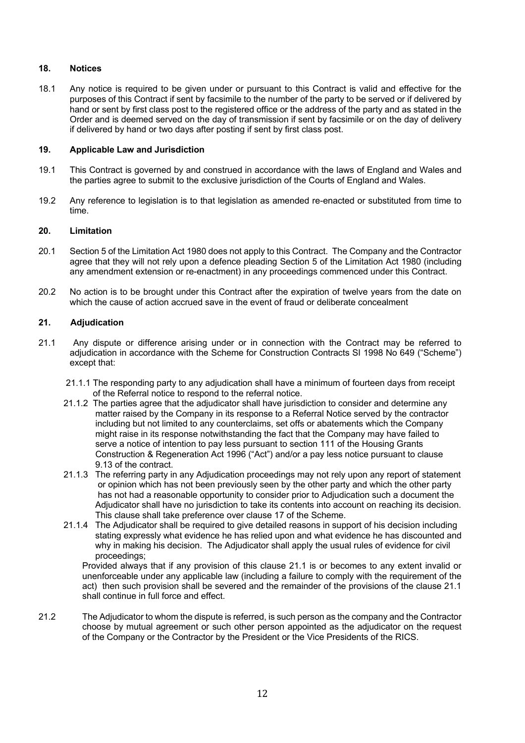# **18. Notices**

18.1 Any notice is required to be given under or pursuant to this Contract is valid and effective for the purposes of this Contract if sent by facsimile to the number of the party to be served or if delivered by hand or sent by first class post to the registered office or the address of the party and as stated in the Order and is deemed served on the day of transmission if sent by facsimile or on the day of delivery if delivered by hand or two days after posting if sent by first class post.

# **19. Applicable Law and Jurisdiction**

- 19.1 This Contract is governed by and construed in accordance with the laws of England and Wales and the parties agree to submit to the exclusive jurisdiction of the Courts of England and Wales.
- 19.2 Any reference to legislation is to that legislation as amended re-enacted or substituted from time to time.

### **20. Limitation**

- 20.1 Section 5 of the Limitation Act 1980 does not apply to this Contract. The Company and the Contractor agree that they will not rely upon a defence pleading Section 5 of the Limitation Act 1980 (including any amendment extension or re-enactment) in any proceedings commenced under this Contract.
- 20.2 No action is to be brought under this Contract after the expiration of twelve years from the date on which the cause of action accrued save in the event of fraud or deliberate concealment

### **21. Adjudication**

- 21.1 Any dispute or difference arising under or in connection with the Contract may be referred to adjudication in accordance with the Scheme for Construction Contracts SI 1998 No 649 ("Scheme") except that:
	- 21.1.1 The responding party to any adjudication shall have a minimum of fourteen days from receipt of the Referral notice to respond to the referral notice.
	- 21.1.2 The parties agree that the adjudicator shall have jurisdiction to consider and determine any matter raised by the Company in its response to a Referral Notice served by the contractor including but not limited to any counterclaims, set offs or abatements which the Company might raise in its response notwithstanding the fact that the Company may have failed to serve a notice of intention to pay less pursuant to section 111 of the Housing Grants Construction & Regeneration Act 1996 ("Act") and/or a pay less notice pursuant to clause 9.13 of the contract.
	- 21.1.3 The referring party in any Adjudication proceedings may not rely upon any report of statement or opinion which has not been previously seen by the other party and which the other party has not had a reasonable opportunity to consider prior to Adjudication such a document the Adjudicator shall have no jurisdiction to take its contents into account on reaching its decision. This clause shall take preference over clause 17 of the Scheme.
	- 21.1.4 The Adjudicator shall be required to give detailed reasons in support of his decision including stating expressly what evidence he has relied upon and what evidence he has discounted and why in making his decision. The Adjudicator shall apply the usual rules of evidence for civil proceedings;

Provided always that if any provision of this clause 21.1 is or becomes to any extent invalid or unenforceable under any applicable law (including a failure to comply with the requirement of the act) then such provision shall be severed and the remainder of the provisions of the clause 21.1 shall continue in full force and effect.

21.2 The Adjudicator to whom the dispute is referred, is such person as the company and the Contractor choose by mutual agreement or such other person appointed as the adjudicator on the request of the Company or the Contractor by the President or the Vice Presidents of the RICS.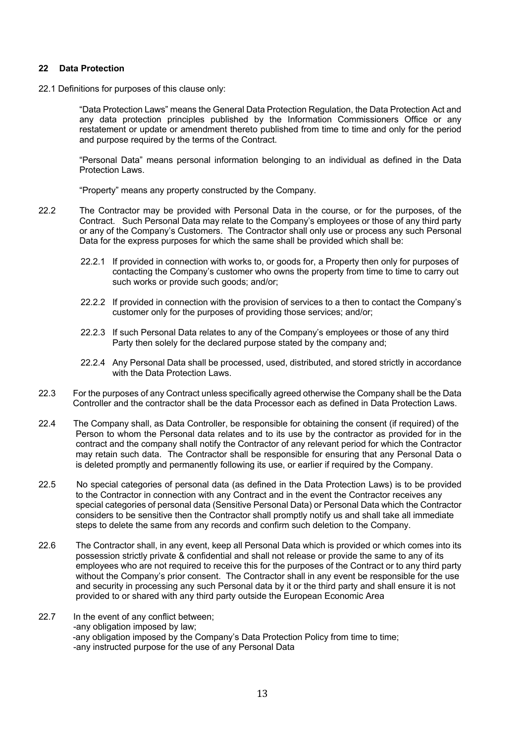### **22 Data Protection**

22.1 Definitions for purposes of this clause only:

"Data Protection Laws" means the General Data Protection Regulation, the Data Protection Act and any data protection principles published by the Information Commissioners Office or any restatement or update or amendment thereto published from time to time and only for the period and purpose required by the terms of the Contract.

"Personal Data" means personal information belonging to an individual as defined in the Data Protection Laws.

"Property" means any property constructed by the Company.

- 22.2 The Contractor may be provided with Personal Data in the course, or for the purposes, of the Contract. Such Personal Data may relate to the Company's employees or those of any third party or any of the Company's Customers. The Contractor shall only use or process any such Personal Data for the express purposes for which the same shall be provided which shall be:
	- 22.2.1 If provided in connection with works to, or goods for, a Property then only for purposes of contacting the Company's customer who owns the property from time to time to carry out such works or provide such goods; and/or;
	- 22.2.2 If provided in connection with the provision of services to a then to contact the Company's customer only for the purposes of providing those services; and/or;
	- 22.2.3 If such Personal Data relates to any of the Company's employees or those of any third Party then solely for the declared purpose stated by the company and;
	- 22.2.4 Any Personal Data shall be processed, used, distributed, and stored strictly in accordance with the Data Protection Laws.
- 22.3 For the purposes of any Contract unless specifically agreed otherwise the Company shall be the Data Controller and the contractor shall be the data Processor each as defined in Data Protection Laws.
- 22.4 The Company shall, as Data Controller, be responsible for obtaining the consent (if required) of the Person to whom the Personal data relates and to its use by the contractor as provided for in the contract and the company shall notify the Contractor of any relevant period for which the Contractor may retain such data. The Contractor shall be responsible for ensuring that any Personal Data o is deleted promptly and permanently following its use, or earlier if required by the Company.
- 22.5 No special categories of personal data (as defined in the Data Protection Laws) is to be provided to the Contractor in connection with any Contract and in the event the Contractor receives any special categories of personal data (Sensitive Personal Data) or Personal Data which the Contractor considers to be sensitive then the Contractor shall promptly notify us and shall take all immediate steps to delete the same from any records and confirm such deletion to the Company.
- 22.6 The Contractor shall, in any event, keep all Personal Data which is provided or which comes into its possession strictly private & confidential and shall not release or provide the same to any of its employees who are not required to receive this for the purposes of the Contract or to any third party without the Company's prior consent. The Contractor shall in any event be responsible for the use and security in processing any such Personal data by it or the third party and shall ensure it is not provided to or shared with any third party outside the European Economic Area
- 22.7 In the event of any conflict between: -any obligation imposed by law; -any obligation imposed by the Company's Data Protection Policy from time to time; -any instructed purpose for the use of any Personal Data